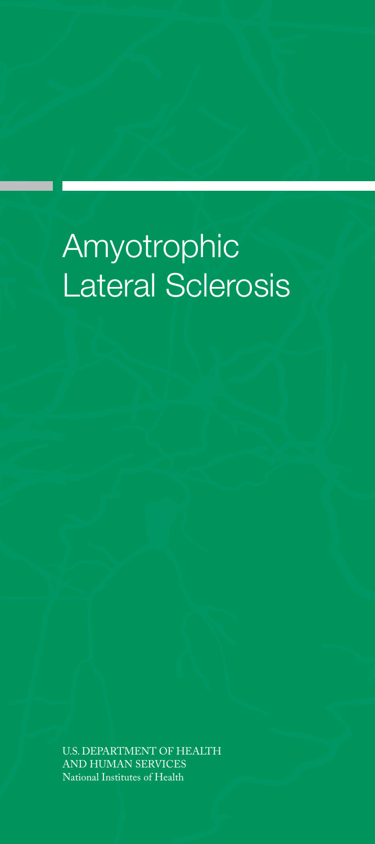# Amyotrophic Lateral Sclerosis

U.S. DEPARTMENT OF HEALTH AND HUMAN SERVICES National Institutes of Health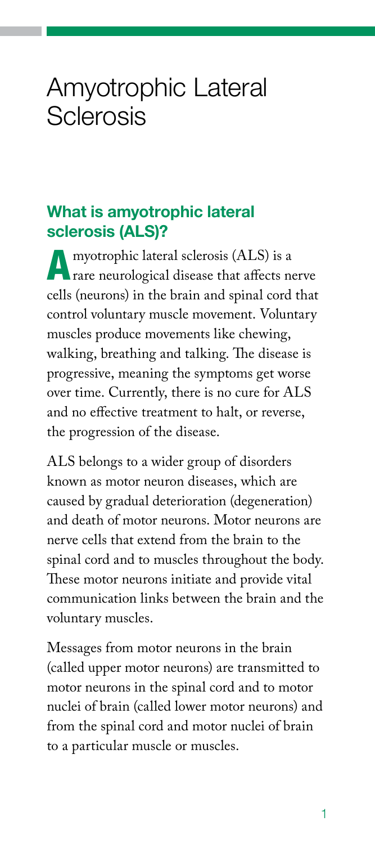# Amyotrophic Lateral Sclerosis

## What is amyotrophic lateral sclerosis (ALS)?

A myotrophic lateral sclerosis (ALS) is a rare neurological disease that affects nerve cells (neurons) in the brain and spinal cord that control voluntary muscle movement. Voluntary muscles produce movements like chewing, walking, breathing and talking. The disease is progressive, meaning the symptoms get worse over time. Currently, there is no cure for ALS and no effective treatment to halt, or reverse, the progression of the disease.

ALS belongs to a wider group of disorders known as motor neuron diseases, which are caused by gradual deterioration (degeneration) and death of motor neurons. Motor neurons are nerve cells that extend from the brain to the spinal cord and to muscles throughout the body. These motor neurons initiate and provide vital communication links between the brain and the voluntary muscles.

Messages from motor neurons in the brain (called upper motor neurons) are transmitted to motor neurons in the spinal cord and to motor nuclei of brain (called lower motor neurons) and from the spinal cord and motor nuclei of brain to a particular muscle or muscles.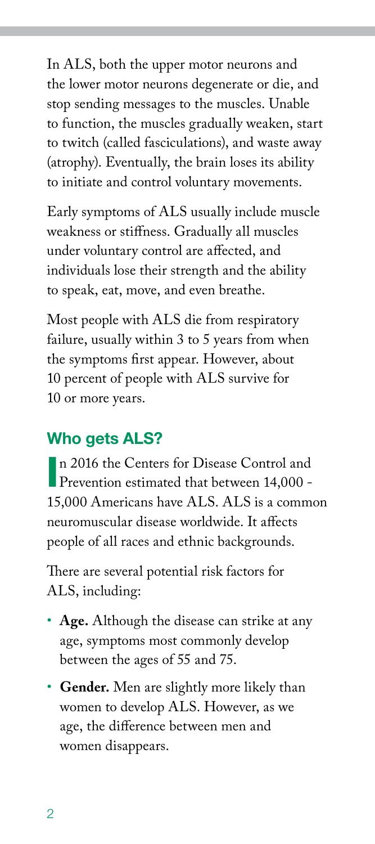In ALS, both the upper motor neurons and the lower motor neurons degenerate or die, and stop sending messages to the muscles. Unable to function, the muscles gradually weaken, start to twitch (called fasciculations), and waste away (atrophy). Eventually, the brain loses its ability to initiate and control voluntary movements.

Early symptoms of ALS usually include muscle weakness or stiffness. Gradually all muscles under voluntary control are affected, and individuals lose their strength and the ability to speak, eat, move, and even breathe.

Most people with ALS die from respiratory failure, usually within 3 to 5 years from when the symptoms first appear. However, about 10 percent of people with ALS survive for 10 or more years.

## Who gets ALS?

n 2016 the Centers for Disease Control and Prevention estimated that between 14,000 -Prevention estimated that between 14,000 - 15,000 Americans have ALS. ALS is a common neuromuscular disease worldwide. It affects people of all races and ethnic backgrounds.

There are several potential risk factors for ALS, including:

- **Age.** Although the disease can strike at any age, symptoms most commonly develop between the ages of 55 and 75.
- **Gender.** Men are slightly more likely than women to develop ALS. However, as we age, the difference between men and women disappears.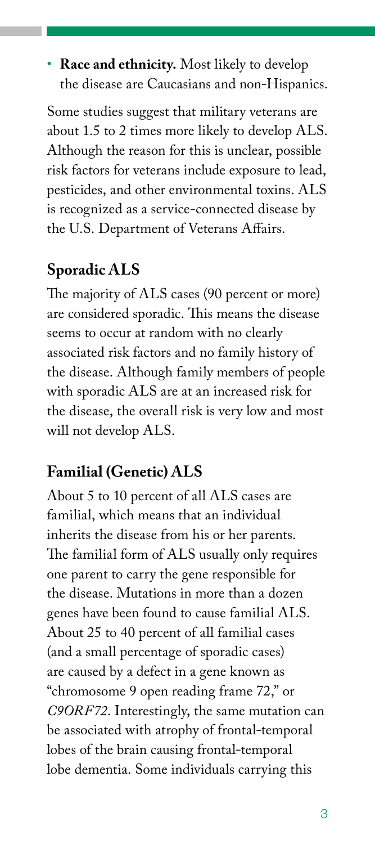• **Race and ethnicity.** Most likely to develop the disease are Caucasians and non-Hispanics.

Some studies suggest that military veterans are about 1.5 to 2 times more likely to develop ALS. Although the reason for this is unclear, possible risk factors for veterans include exposure to lead, pesticides, and other environmental toxins. ALS is recognized as a service-connected disease by the U.S. Department of Veterans Affairs.

# **Sporadic ALS**

The majority of ALS cases (90 percent or more) are considered sporadic. This means the disease seems to occur at random with no clearly associated risk factors and no family history of the disease. Although family members of people with sporadic ALS are at an increased risk for the disease, the overall risk is very low and most will not develop ALS.

# **Familial (Genetic) ALS**

About 5 to 10 percent of all ALS cases are familial, which means that an individual inherits the disease from his or her parents. The familial form of ALS usually only requires one parent to carry the gene responsible for the disease. Mutations in more than a dozen genes have been found to cause familial ALS. About 25 to 40 percent of all familial cases (and a small percentage of sporadic cases) are caused by a defect in a gene known as "chromosome 9 open reading frame 72," or *C9ORF72*. Interestingly, the same mutation can be associated with atrophy of frontal-temporal lobes of the brain causing frontal-temporal lobe dementia. Some individuals carrying this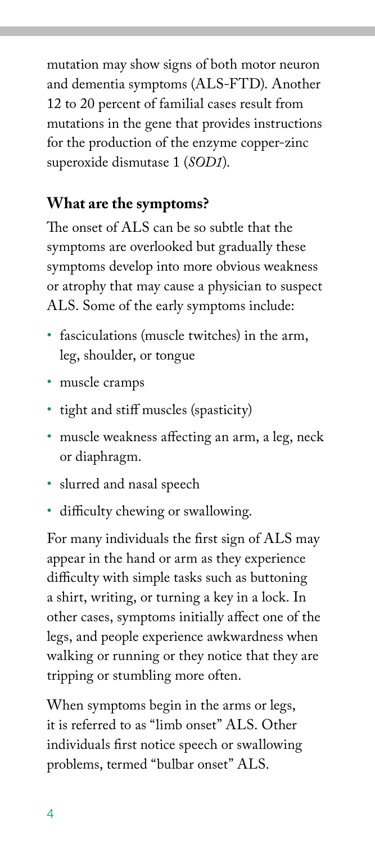mutation may show signs of both motor neuron and dementia symptoms (ALS-FTD). Another 12 to 20 percent of familial cases result from mutations in the gene that provides instructions for the production of the enzyme copper-zinc superoxide dismutase 1 (*SOD1*).

## **What are the symptoms?**

The onset of ALS can be so subtle that the symptoms are overlooked but gradually these symptoms develop into more obvious weakness or atrophy that may cause a physician to suspect ALS. Some of the early symptoms include:

- fasciculations (muscle twitches) in the arm, leg, shoulder, or tongue
- muscle cramps
- tight and stiff muscles (spasticity)
- muscle weakness affecting an arm, a leg, neck or diaphragm.
- slurred and nasal speech
- difficulty chewing or swallowing.

For many individuals the first sign of ALS may appear in the hand or arm as they experience difficulty with simple tasks such as buttoning a shirt, writing, or turning a key in a lock. In other cases, symptoms initially affect one of the legs, and people experience awkwardness when walking or running or they notice that they are tripping or stumbling more often.

When symptoms begin in the arms or legs, it is referred to as "limb onset" ALS. Other individuals first notice speech or swallowing problems, termed "bulbar onset" ALS.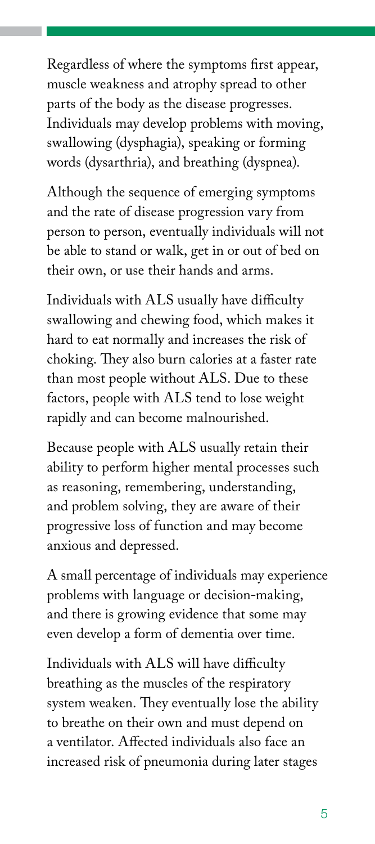Regardless of where the symptoms first appear, muscle weakness and atrophy spread to other parts of the body as the disease progresses. Individuals may develop problems with moving, swallowing (dysphagia), speaking or forming words (dysarthria), and breathing (dyspnea).

Although the sequence of emerging symptoms and the rate of disease progression vary from person to person, eventually individuals will not be able to stand or walk, get in or out of bed on their own, or use their hands and arms.

Individuals with ALS usually have difficulty swallowing and chewing food, which makes it hard to eat normally and increases the risk of choking. They also burn calories at a faster rate than most people without ALS. Due to these factors, people with ALS tend to lose weight rapidly and can become malnourished.

Because people with ALS usually retain their ability to perform higher mental processes such as reasoning, remembering, understanding, and problem solving, they are aware of their progressive loss of function and may become anxious and depressed.

A small percentage of individuals may experience problems with language or decision-making, and there is growing evidence that some may even develop a form of dementia over time.

Individuals with ALS will have difficulty breathing as the muscles of the respiratory system weaken. They eventually lose the ability to breathe on their own and must depend on a ventilator. Affected individuals also face an increased risk of pneumonia during later stages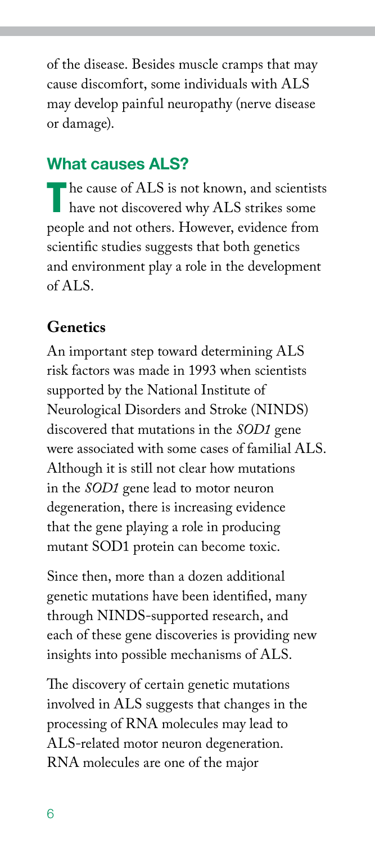of the disease. Besides muscle cramps that may cause discomfort, some individuals with ALS may develop painful neuropathy (nerve disease or damage).

# What causes ALS?

The cause of ALS is not known, and scientists have not discovered why ALS strikes some people and not others. However, evidence from scientific studies suggests that both genetics and environment play a role in the development of ALS.

## **Genetics**

An important step toward determining ALS risk factors was made in 1993 when scientists supported by the National Institute of Neurological Disorders and Stroke (NINDS) discovered that mutations in the *SOD1* gene were associated with some cases of familial ALS. Although it is still not clear how mutations in the *SOD1* gene lead to motor neuron degeneration, there is increasing evidence that the gene playing a role in producing mutant SOD1 protein can become toxic.

Since then, more than a dozen additional genetic mutations have been identified, many through NINDS-supported research, and each of these gene discoveries is providing new insights into possible mechanisms of ALS.

The discovery of certain genetic mutations involved in ALS suggests that changes in the processing of RNA molecules may lead to ALS-related motor neuron degeneration. RNA molecules are one of the major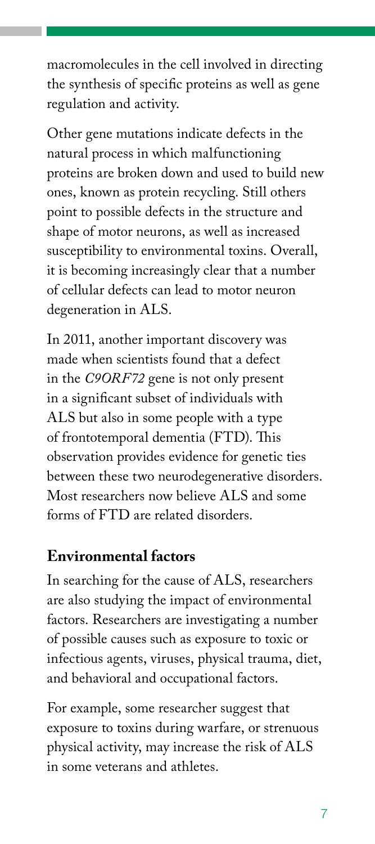macromolecules in the cell involved in directing the synthesis of specific proteins as well as gene regulation and activity.

Other gene mutations indicate defects in the natural process in which malfunctioning proteins are broken down and used to build new ones, known as protein recycling. Still others point to possible defects in the structure and shape of motor neurons, as well as increased susceptibility to environmental toxins. Overall, it is becoming increasingly clear that a number of cellular defects can lead to motor neuron degeneration in ALS.

In 2011, another important discovery was made when scientists found that a defect in the *C9ORF72* gene is not only present in a significant subset of individuals with ALS but also in some people with a type of frontotemporal dementia (FTD). This observation provides evidence for genetic ties between these two neurodegenerative disorders. Most researchers now believe ALS and some forms of FTD are related disorders.

#### **Environmental factors**

In searching for the cause of ALS, researchers are also studying the impact of environmental factors. Researchers are investigating a number of possible causes such as exposure to toxic or infectious agents, viruses, physical trauma, diet, and behavioral and occupational factors.

For example, some researcher suggest that exposure to toxins during warfare, or strenuous physical activity, may increase the risk of ALS in some veterans and athletes.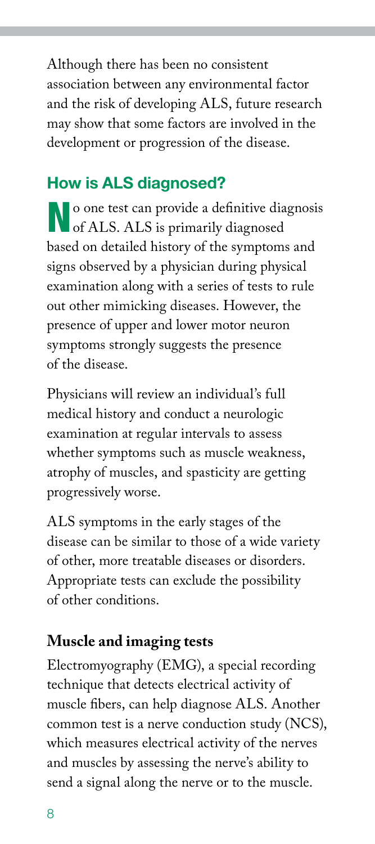Although there has been no consistent association between any environmental factor and the risk of developing ALS, future research may show that some factors are involved in the development or progression of the disease.

# How is ALS diagnosed?

No one test can provide a definitive diagnosis **N** of ALS. ALS is primarily diagnosed based on detailed history of the symptoms and signs observed by a physician during physical examination along with a series of tests to rule out other mimicking diseases. However, the presence of upper and lower motor neuron symptoms strongly suggests the presence of the disease.

Physicians will review an individual's full medical history and conduct a neurologic examination at regular intervals to assess whether symptoms such as muscle weakness, atrophy of muscles, and spasticity are getting progressively worse.

ALS symptoms in the early stages of the disease can be similar to those of a wide variety of other, more treatable diseases or disorders. Appropriate tests can exclude the possibility of other conditions.

## **Muscle and imaging tests**

Electromyography (EMG), a special recording technique that detects electrical activity of muscle fibers, can help diagnose ALS. Another common test is a nerve conduction study (NCS), which measures electrical activity of the nerves and muscles by assessing the nerve's ability to send a signal along the nerve or to the muscle.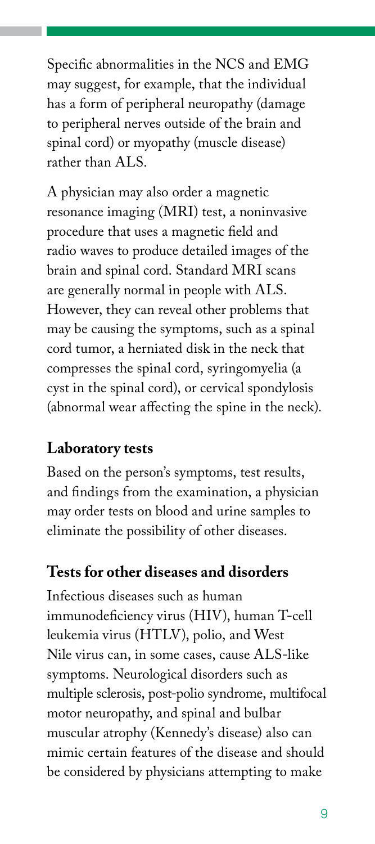Specific abnormalities in the NCS and EMG may suggest, for example, that the individual has a form of peripheral neuropathy (damage to peripheral nerves outside of the brain and spinal cord) or myopathy (muscle disease) rather than ALS.

A physician may also order a magnetic resonance imaging (MRI) test, a noninvasive procedure that uses a magnetic field and radio waves to produce detailed images of the brain and spinal cord. Standard MRI scans are generally normal in people with ALS. However, they can reveal other problems that may be causing the symptoms, such as a spinal cord tumor, a herniated disk in the neck that compresses the spinal cord, syringomyelia (a cyst in the spinal cord), or cervical spondylosis (abnormal wear affecting the spine in the neck).

#### **Laboratory tests**

Based on the person's symptoms, test results, and findings from the examination, a physician may order tests on blood and urine samples to eliminate the possibility of other diseases.

#### **Tests for other diseases and disorders**

Infectious diseases such as human immunodeficiency virus (HIV), human T-cell leukemia virus (HTLV), polio, and West Nile virus can, in some cases, cause ALS-like symptoms. Neurological disorders such as multiple sclerosis, post-polio syndrome, multifocal motor neuropathy, and spinal and bulbar muscular atrophy (Kennedy's disease) also can mimic certain features of the disease and should be considered by physicians attempting to make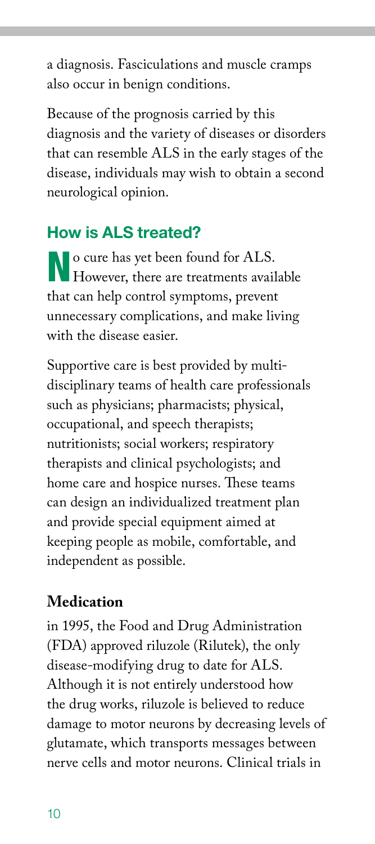a diagnosis. Fasciculations and muscle cramps also occur in benign conditions.

Because of the prognosis carried by this diagnosis and the variety of diseases or disorders that can resemble ALS in the early stages of the disease, individuals may wish to obtain a second neurological opinion.

# How is ALS treated?

No cure has yet been found for ALS. However, there are treatments available that can help control symptoms, prevent unnecessary complications, and make living with the disease easier.

Supportive care is best provided by multidisciplinary teams of health care professionals such as physicians; pharmacists; physical, occupational, and speech therapists; nutritionists; social workers; respiratory therapists and clinical psychologists; and home care and hospice nurses. These teams can design an individualized treatment plan and provide special equipment aimed at keeping people as mobile, comfortable, and independent as possible.

#### **Medication**

in 1995, the Food and Drug Administration (FDA) approved riluzole (Rilutek), the only disease-modifying drug to date for ALS. Although it is not entirely understood how the drug works, riluzole is believed to reduce damage to motor neurons by decreasing levels of glutamate, which transports messages between nerve cells and motor neurons. Clinical trials in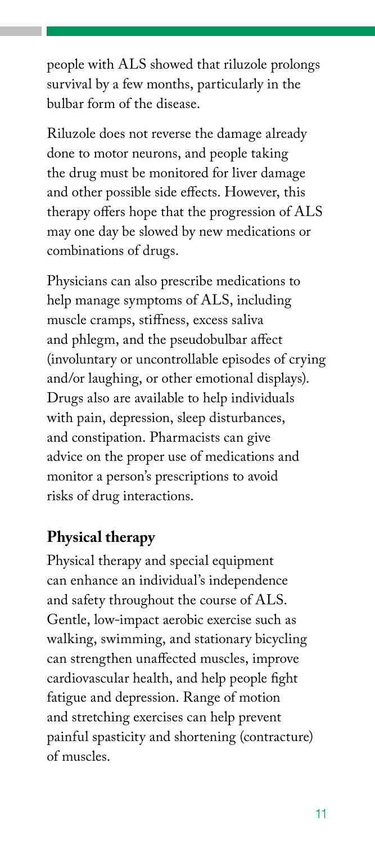people with ALS showed that riluzole prolongs survival by a few months, particularly in the bulbar form of the disease.

Riluzole does not reverse the damage already done to motor neurons, and people taking the drug must be monitored for liver damage and other possible side effects. However, this therapy offers hope that the progression of ALS may one day be slowed by new medications or combinations of drugs.

Physicians can also prescribe medications to help manage symptoms of ALS, including muscle cramps, stiffness, excess saliva and phlegm, and the pseudobulbar affect (involuntary or uncontrollable episodes of crying and/or laughing, or other emotional displays). Drugs also are available to help individuals with pain, depression, sleep disturbances, and constipation. Pharmacists can give advice on the proper use of medications and monitor a person's prescriptions to avoid risks of drug interactions.

#### **Physical therapy**

Physical therapy and special equipment can enhance an individual's independence and safety throughout the course of ALS. Gentle, low-impact aerobic exercise such as walking, swimming, and stationary bicycling can strengthen unaffected muscles, improve cardiovascular health, and help people fight fatigue and depression. Range of motion and stretching exercises can help prevent painful spasticity and shortening (contracture) of muscles.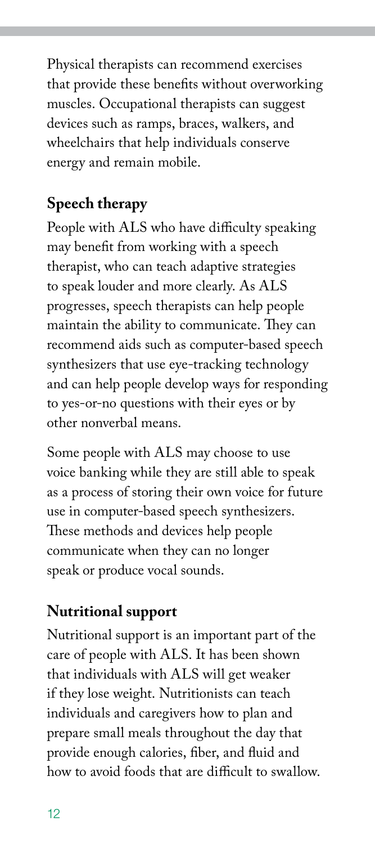Physical therapists can recommend exercises that provide these benefits without overworking muscles. Occupational therapists can suggest devices such as ramps, braces, walkers, and wheelchairs that help individuals conserve energy and remain mobile.

# **Speech therapy**

People with ALS who have difficulty speaking may benefit from working with a speech therapist, who can teach adaptive strategies to speak louder and more clearly. As ALS progresses, speech therapists can help people maintain the ability to communicate. They can recommend aids such as computer-based speech synthesizers that use eye-tracking technology and can help people develop ways for responding to yes-or-no questions with their eyes or by other nonverbal means.

Some people with ALS may choose to use voice banking while they are still able to speak as a process of storing their own voice for future use in computer-based speech synthesizers. These methods and devices help people communicate when they can no longer speak or produce vocal sounds.

# **Nutritional support**

Nutritional support is an important part of the care of people with ALS. It has been shown that individuals with ALS will get weaker if they lose weight. Nutritionists can teach individuals and caregivers how to plan and prepare small meals throughout the day that provide enough calories, fiber, and fluid and how to avoid foods that are difficult to swallow.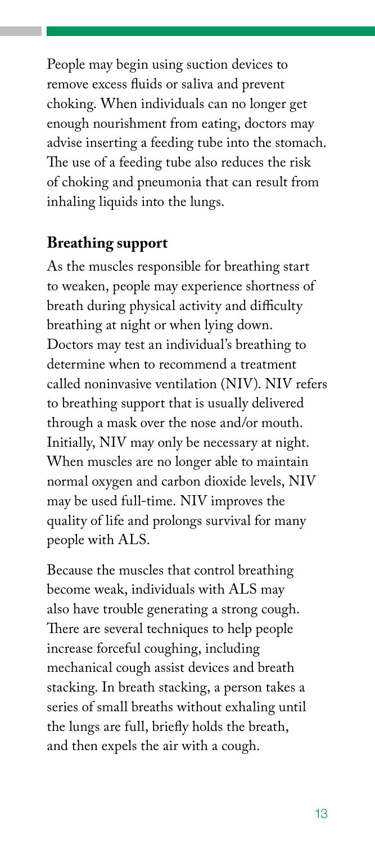People may begin using suction devices to remove excess fluids or saliva and prevent choking. When individuals can no longer get enough nourishment from eating, doctors may advise inserting a feeding tube into the stomach. The use of a feeding tube also reduces the risk of choking and pneumonia that can result from inhaling liquids into the lungs.

#### **Breathing support**

As the muscles responsible for breathing start to weaken, people may experience shortness of breath during physical activity and difficulty breathing at night or when lying down. Doctors may test an individual's breathing to determine when to recommend a treatment called noninvasive ventilation (NIV). NIV refers to breathing support that is usually delivered through a mask over the nose and/or mouth. Initially, NIV may only be necessary at night. When muscles are no longer able to maintain normal oxygen and carbon dioxide levels, NIV may be used full-time. NIV improves the quality of life and prolongs survival for many people with ALS.

Because the muscles that control breathing become weak, individuals with ALS may also have trouble generating a strong cough. There are several techniques to help people increase forceful coughing, including mechanical cough assist devices and breath stacking. In breath stacking, a person takes a series of small breaths without exhaling until the lungs are full, briefly holds the breath, and then expels the air with a cough.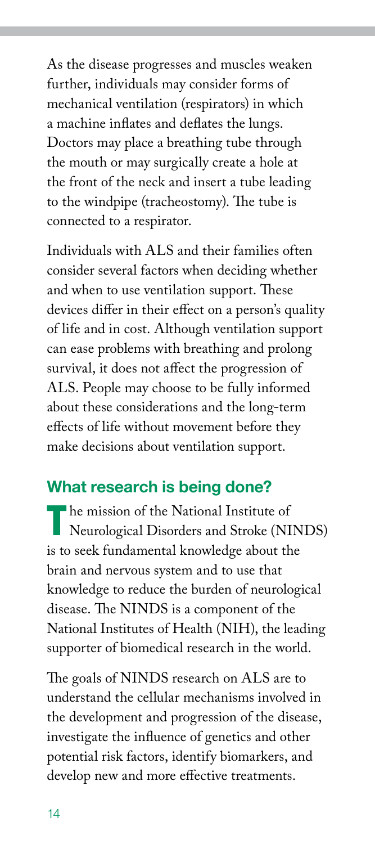As the disease progresses and muscles weaken further, individuals may consider forms of mechanical ventilation (respirators) in which a machine inflates and deflates the lungs. Doctors may place a breathing tube through the mouth or may surgically create a hole at the front of the neck and insert a tube leading to the windpipe (tracheostomy). The tube is connected to a respirator.

Individuals with ALS and their families often consider several factors when deciding whether and when to use ventilation support. These devices differ in their effect on a person's quality of life and in cost. Although ventilation support can ease problems with breathing and prolong survival, it does not affect the progression of ALS. People may choose to be fully informed about these considerations and the long-term effects of life without movement before they make decisions about ventilation support.

## What research is being done?

The mission of the National Institute of<br>
Neurological Disorders and Stroke (NINDS) is to seek fundamental knowledge about the brain and nervous system and to use that knowledge to reduce the burden of neurological disease. The NINDS is a component of the National Institutes of Health (NIH), the leading supporter of biomedical research in the world.

The goals of NINDS research on ALS are to understand the cellular mechanisms involved in the development and progression of the disease, investigate the influence of genetics and other potential risk factors, identify biomarkers, and develop new and more effective treatments.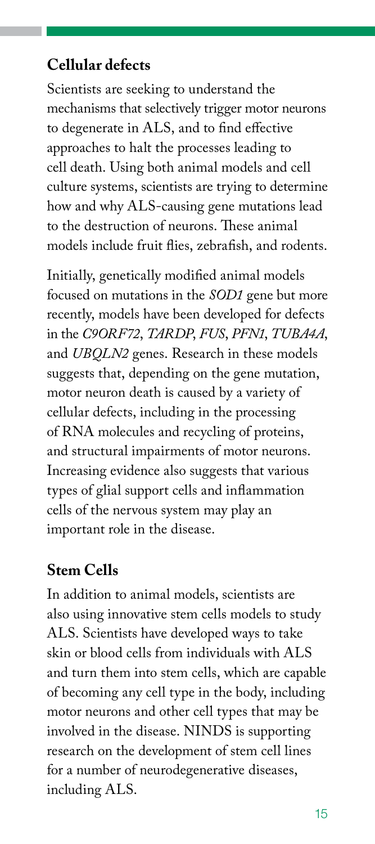#### **Cellular defects**

Scientists are seeking to understand the mechanisms that selectively trigger motor neurons to degenerate in ALS, and to find effective approaches to halt the processes leading to cell death. Using both animal models and cell culture systems, scientists are trying to determine how and why ALS-causing gene mutations lead to the destruction of neurons. These animal models include fruit flies, zebrafish, and rodents.

Initially, genetically modified animal models focused on mutations in the *SOD1* gene but more recently, models have been developed for defects in the *C9ORF72*, *TARDP*, *FUS*, *PFN1*, *TUBA4A*, and *UBQLN2* genes. Research in these models suggests that, depending on the gene mutation, motor neuron death is caused by a variety of cellular defects, including in the processing of RNA molecules and recycling of proteins, and structural impairments of motor neurons. Increasing evidence also suggests that various types of glial support cells and inflammation cells of the nervous system may play an important role in the disease.

## **Stem Cells**

In addition to animal models, scientists are also using innovative stem cells models to study ALS. Scientists have developed ways to take skin or blood cells from individuals with ALS and turn them into stem cells, which are capable of becoming any cell type in the body, including motor neurons and other cell types that may be involved in the disease. NINDS is supporting research on the development of stem cell lines for a number of neurodegenerative diseases, including ALS.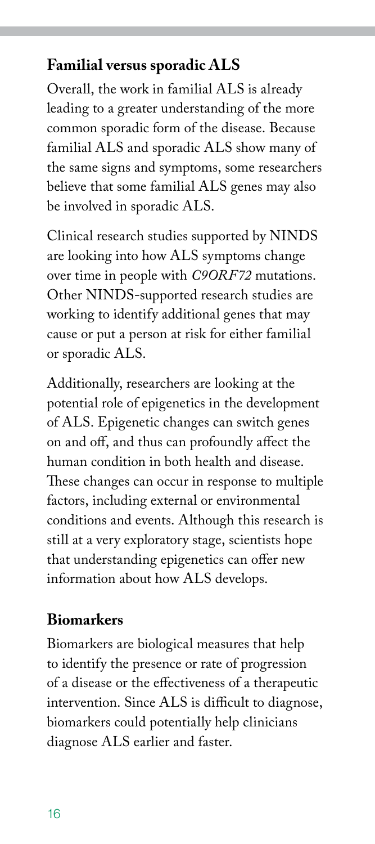#### **Familial versus sporadic ALS**

Overall, the work in familial ALS is already leading to a greater understanding of the more common sporadic form of the disease. Because familial ALS and sporadic ALS show many of the same signs and symptoms, some researchers believe that some familial ALS genes may also be involved in sporadic ALS.

Clinical research studies supported by NINDS are looking into how ALS symptoms change over time in people with *C9ORF72* mutations. Other NINDS-supported research studies are working to identify additional genes that may cause or put a person at risk for either familial or sporadic ALS.

Additionally, researchers are looking at the potential role of epigenetics in the development of ALS. Epigenetic changes can switch genes on and off, and thus can profoundly affect the human condition in both health and disease. These changes can occur in response to multiple factors, including external or environmental conditions and events. Although this research is still at a very exploratory stage, scientists hope that understanding epigenetics can offer new information about how ALS develops.

#### **Biomarkers**

Biomarkers are biological measures that help to identify the presence or rate of progression of a disease or the effectiveness of a therapeutic intervention. Since ALS is difficult to diagnose, biomarkers could potentially help clinicians diagnose ALS earlier and faster.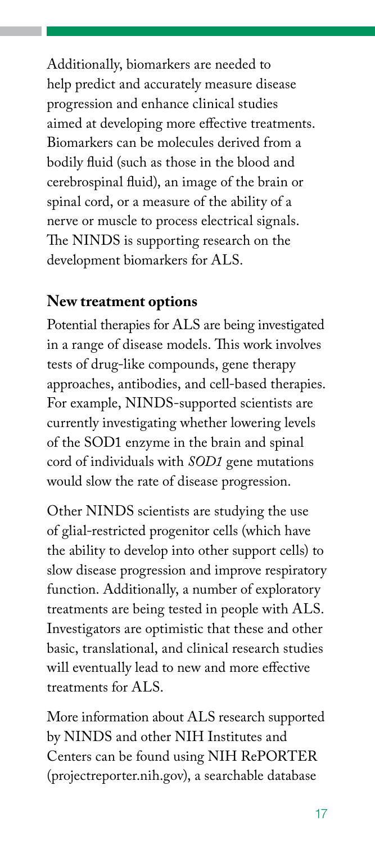Additionally, biomarkers are needed to help predict and accurately measure disease progression and enhance clinical studies aimed at developing more effective treatments. Biomarkers can be molecules derived from a bodily fluid (such as those in the blood and cerebrospinal fluid), an image of the brain or spinal cord, or a measure of the ability of a nerve or muscle to process electrical signals. The NINDS is supporting research on the development biomarkers for ALS.

#### **New treatment options**

Potential therapies for ALS are being investigated in a range of disease models. This work involves tests of drug-like compounds, gene therapy approaches, antibodies, and cell-based therapies. For example, NINDS-supported scientists are currently investigating whether lowering levels of the SOD1 enzyme in the brain and spinal cord of individuals with *SOD1* gene mutations would slow the rate of disease progression.

Other NINDS scientists are studying the use of glial-restricted progenitor cells (which have the ability to develop into other support cells) to slow disease progression and improve respiratory function. Additionally, a number of exploratory treatments are being tested in people with ALS. Investigators are optimistic that these and other basic, translational, and clinical research studies will eventually lead to new and more effective treatments for ALS.

More information about ALS research supported by NINDS and other NIH Institutes and Centers can be found using NIH RePORTER [\(projectreporter.nih.gov\)](http://projectreporter.nih.gov), a searchable database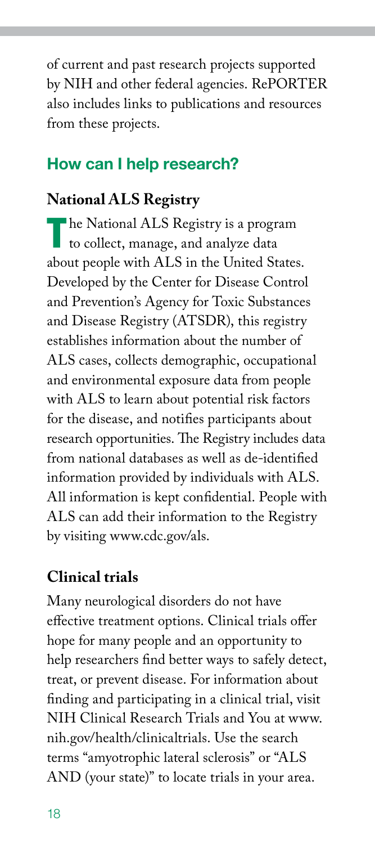of current and past research projects supported by NIH and other federal agencies. RePORTER also includes links to publications and resources from these projects.

## How can I help research?

## **National ALS Registry**

The National ALS Registry is a program<br>to collect, manage, and analyze data about people with ALS in the United States. Developed by the Center for Disease Control and Prevention's Agency for Toxic Substances and Disease Registry (ATSDR), this registry establishes information about the number of ALS cases, collects demographic, occupational and environmental exposure data from people with ALS to learn about potential risk factors for the disease, and notifies participants about research opportunities. The Registry includes data from national databases as well as de-identified information provided by individuals with ALS. All information is kept confidential. People with ALS can add their information to the Registry by visiting [www.cdc.gov/als](http://www.cdc.gov/als).

## **Clinical trials**

Many neurological disorders do not have effective treatment options. Clinical trials offer hope for many people and an opportunity to help researchers find better ways to safely detect, treat, or prevent disease. For information about finding and participating in a clinical trial, visit NIH Clinical Research Trials and You at [www.](http://www.nih.gov/health/clinicaltrials) [nih.gov/health/clinicaltrials](http://www.nih.gov/health/clinicaltrials). Use the search terms "amyotrophic lateral sclerosis" or "ALS AND (your state)" to locate trials in your area.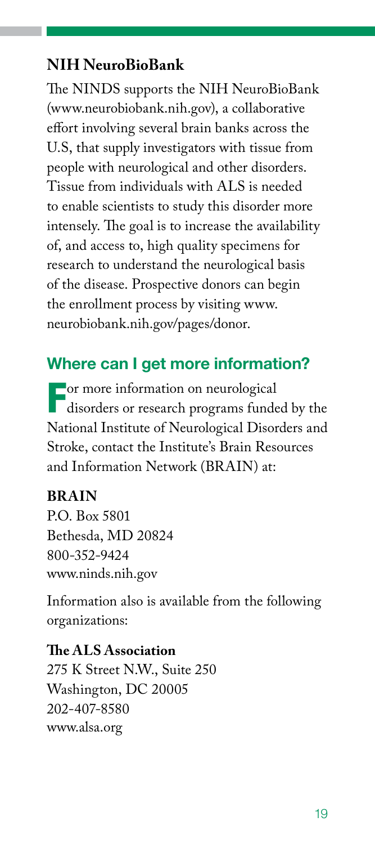#### **NIH NeuroBioBank**

The NINDS supports the NIH NeuroBioBank [\(www.neurobiobank.nih.gov\)](http://www.neurobiobank.nih.gov), a collaborative effort involving several brain banks across the U.S, that supply investigators with tissue from people with neurological and other disorders. Tissue from individuals with ALS is needed to enable scientists to study this disorder more intensely. The goal is to increase the availability of, and access to, high quality specimens for research to understand the neurological basis of the disease. Prospective donors can begin the enrollment process by visiting [www.](http://www.neurobiobank.nih.gov/pages/donor) [neurobiobank.nih.gov/pages/donor.](http://www.neurobiobank.nih.gov/pages/donor)

#### Where can I get more information?

For more information on neurological disorders or research programs funded by the National Institute of Neurological Disorders and Stroke, contact the Institute's Brain Resources and Information Network (BRAIN) at:

#### **BRAIN**

P.O. Box 5801 Bethesda, MD 20824 800-352-9424 [www.ninds.nih.gov](http://www.ninds.nih.gov)

Information also is available from the following organizations:

**The ALS Association**  275 K Street N.W., Suite 250 Washington, DC 20005 202-407-8580 [www.alsa.org](http://www.alsa.org)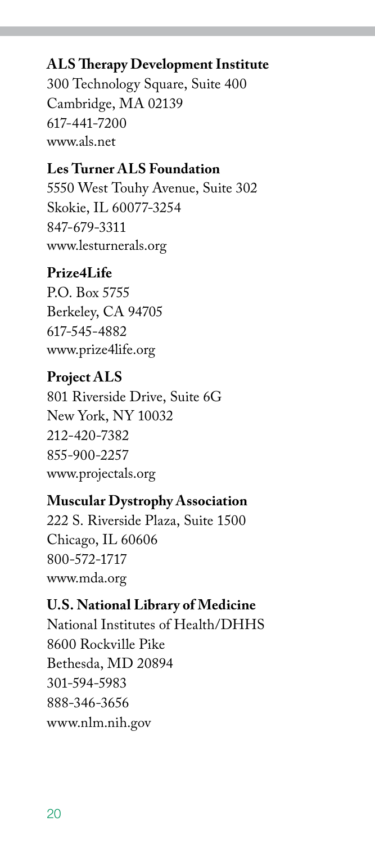#### **ALS Therapy Development Institute**

300 Technology Square, Suite 400 Cambridge, MA 02139 617-441-7200 [www.als.net](http://www.als.net)

#### **Les Turner ALS Foundation**

5550 West Touhy Avenue, Suite 302 Skokie, IL 60077-3254 847-679-3311 [www.lesturnerals.org](http://www.lesturnerals.org)

#### **Prize4Life**

P.O. Box 5755 Berkeley, CA 94705 617-545-4882 [www.prize4life.org](http://www.prize4life.org)

#### **Project ALS**

801 Riverside Drive, Suite 6G New York, NY 10032 212-420-7382 855-900-2257 [www.projectals.org](http://www.projectals.org)

#### **Muscular Dystrophy Association**

222 S. Riverside Plaza, Suite 1500 Chicago, IL 60606 800-572-1717 [www.mda.org](http://www.mda.org)

#### **U.S. National Library of Medicine**

National Institutes of Health/DHHS 8600 Rockville Pike Bethesda, MD 20894 301-594-5983 888-346-3656 [www.nlm.nih.gov](http://www.nlm.nih.gov)